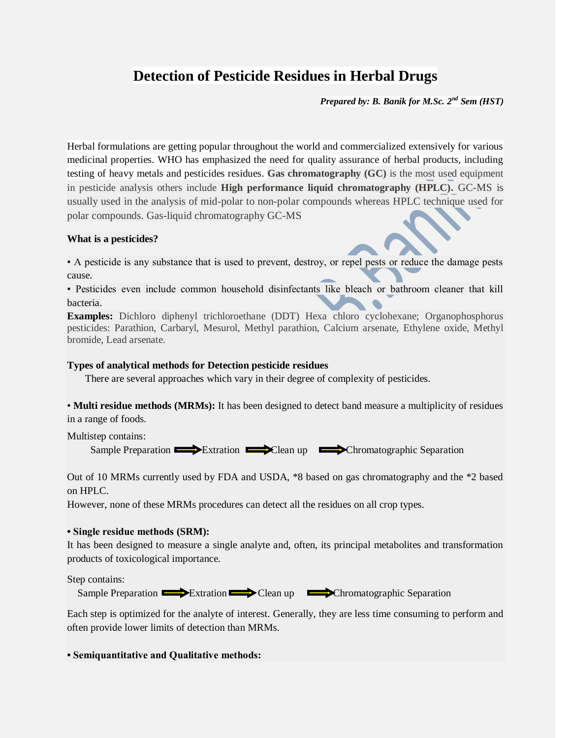## **Detection of Pesticide Residues in Herbal Drugs**

*Prepared by: B. Banik for M.Sc. 2nd Sem (HST)*

Herbal formulations are getting popular throughout the world and commercialized extensively for various medicinal properties. WHO has emphasized the need for quality assurance of herbal products, including testing of heavy metals and pesticides residues. **Gas chromatography (GC)** is the most used equipment in pesticide analysis others include **High performance liquid chromatography (HPLC).** GC-MS is usually used in the analysis of mid-polar to non-polar compounds whereas HPLC technique used for polar compounds. Gas-liquid chromatography GC-MS

## **What is a pesticides?**

• A pesticide is any substance that is used to prevent, destroy, or repel pests or reduce the damage pests cause.

• Pesticides even include common household disinfectants like bleach or bathroom cleaner that kill bacteria.

**Examples:** Dichloro diphenyl trichloroethane (DDT) Hexa chloro cyclohexane; Organophosphorus pesticides: Parathion, Carbaryl, Mesurol, Methyl parathion, Calcium arsenate, Ethylene oxide, Methyl bromide, Lead arsenate.

## **Types of analytical methods for Detection pesticide residues**

There are several approaches which vary in their degree of complexity of pesticides.

• **Multi residue methods (MRMs):** It has been designed to detect band measure a multiplicity of residues in a range of foods.

Multistep contains:

Sample Preparation Extration Extraction Clean up Chromatographic Separation

Out of 10 MRMs currently used by FDA and USDA, \*8 based on gas chromatography and the \*2 based on HPLC.

However, none of these MRMs procedures can detect all the residues on all crop types.

## **• Single residue methods (SRM):**

It has been designed to measure a single analyte and, often, its principal metabolites and transformation products of toxicological importance.

Step contains:

Sample Preparation Extration Clean up Chromatographic Separation

Each step is optimized for the analyte of interest. Generally, they are less time consuming to perform and often provide lower limits of detection than MRMs.

**• Semiquantitative and Qualitative methods:**